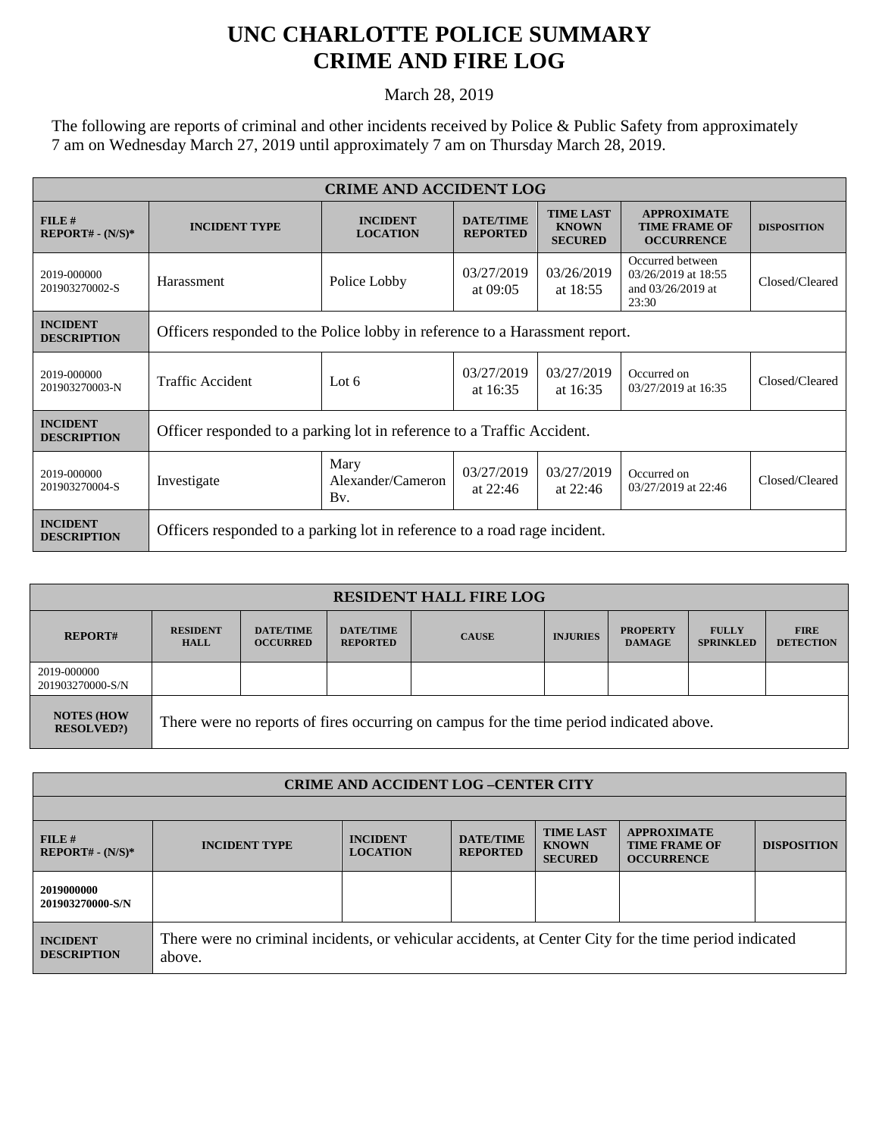## **UNC CHARLOTTE POLICE SUMMARY CRIME AND FIRE LOG**

March 28, 2019

The following are reports of criminal and other incidents received by Police & Public Safety from approximately 7 am on Wednesday March 27, 2019 until approximately 7 am on Thursday March 28, 2019.

| <b>CRIME AND ACCIDENT LOG</b>         |                                                                             |                                    |                                     |                                                    |                                                                       |                    |  |
|---------------------------------------|-----------------------------------------------------------------------------|------------------------------------|-------------------------------------|----------------------------------------------------|-----------------------------------------------------------------------|--------------------|--|
| FILE#<br>$REPORT# - (N/S)*$           | <b>INCIDENT TYPE</b>                                                        | <b>INCIDENT</b><br><b>LOCATION</b> | <b>DATE/TIME</b><br><b>REPORTED</b> | <b>TIME LAST</b><br><b>KNOWN</b><br><b>SECURED</b> | <b>APPROXIMATE</b><br><b>TIME FRAME OF</b><br><b>OCCURRENCE</b>       | <b>DISPOSITION</b> |  |
| 2019-000000<br>201903270002-S         | Harassment                                                                  | Police Lobby                       | 03/27/2019<br>at 09:05              | 03/26/2019<br>at $18:55$                           | Occurred between<br>03/26/2019 at 18:55<br>and 03/26/2019 at<br>23:30 | Closed/Cleared     |  |
| <b>INCIDENT</b><br><b>DESCRIPTION</b> | Officers responded to the Police lobby in reference to a Harassment report. |                                    |                                     |                                                    |                                                                       |                    |  |
| 2019-000000<br>201903270003-N         | Traffic Accident                                                            | Lot $6$                            | 03/27/2019<br>at 16:35              | 03/27/2019<br>at $16:35$                           | Occurred on<br>03/27/2019 at 16:35                                    | Closed/Cleared     |  |
| <b>INCIDENT</b><br><b>DESCRIPTION</b> | Officer responded to a parking lot in reference to a Traffic Accident.      |                                    |                                     |                                                    |                                                                       |                    |  |
| 2019-000000<br>201903270004-S         | Investigate                                                                 | Mary<br>Alexander/Cameron<br>Bv.   | 03/27/2019<br>at $22:46$            | 03/27/2019<br>at $22:46$                           | Occurred on<br>03/27/2019 at 22:46                                    | Closed/Cleared     |  |
| <b>INCIDENT</b><br><b>DESCRIPTION</b> | Officers responded to a parking lot in reference to a road rage incident.   |                                    |                                     |                                                    |                                                                       |                    |  |

| <b>RESIDENT HALL FIRE LOG</b>          |                                                                                         |                                     |                                     |              |                 |                                  |                                  |                                 |
|----------------------------------------|-----------------------------------------------------------------------------------------|-------------------------------------|-------------------------------------|--------------|-----------------|----------------------------------|----------------------------------|---------------------------------|
| <b>REPORT#</b>                         | <b>RESIDENT</b><br><b>HALL</b>                                                          | <b>DATE/TIME</b><br><b>OCCURRED</b> | <b>DATE/TIME</b><br><b>REPORTED</b> | <b>CAUSE</b> | <b>INJURIES</b> | <b>PROPERTY</b><br><b>DAMAGE</b> | <b>FULLY</b><br><b>SPRINKLED</b> | <b>FIRE</b><br><b>DETECTION</b> |
| 2019-000000<br>201903270000-S/N        |                                                                                         |                                     |                                     |              |                 |                                  |                                  |                                 |
| <b>NOTES (HOW</b><br><b>RESOLVED?)</b> | There were no reports of fires occurring on campus for the time period indicated above. |                                     |                                     |              |                 |                                  |                                  |                                 |

| <b>CRIME AND ACCIDENT LOG-CENTER CITY</b> |                                                                                                                  |                                    |                                     |                                                    |                                                                 |                    |  |
|-------------------------------------------|------------------------------------------------------------------------------------------------------------------|------------------------------------|-------------------------------------|----------------------------------------------------|-----------------------------------------------------------------|--------------------|--|
|                                           |                                                                                                                  |                                    |                                     |                                                    |                                                                 |                    |  |
| FILE#<br>$REPORT# - (N/S)*$               | <b>INCIDENT TYPE</b>                                                                                             | <b>INCIDENT</b><br><b>LOCATION</b> | <b>DATE/TIME</b><br><b>REPORTED</b> | <b>TIME LAST</b><br><b>KNOWN</b><br><b>SECURED</b> | <b>APPROXIMATE</b><br><b>TIME FRAME OF</b><br><b>OCCURRENCE</b> | <b>DISPOSITION</b> |  |
| 2019000000<br>201903270000-S/N            |                                                                                                                  |                                    |                                     |                                                    |                                                                 |                    |  |
| <b>INCIDENT</b><br><b>DESCRIPTION</b>     | There were no criminal incidents, or vehicular accidents, at Center City for the time period indicated<br>above. |                                    |                                     |                                                    |                                                                 |                    |  |